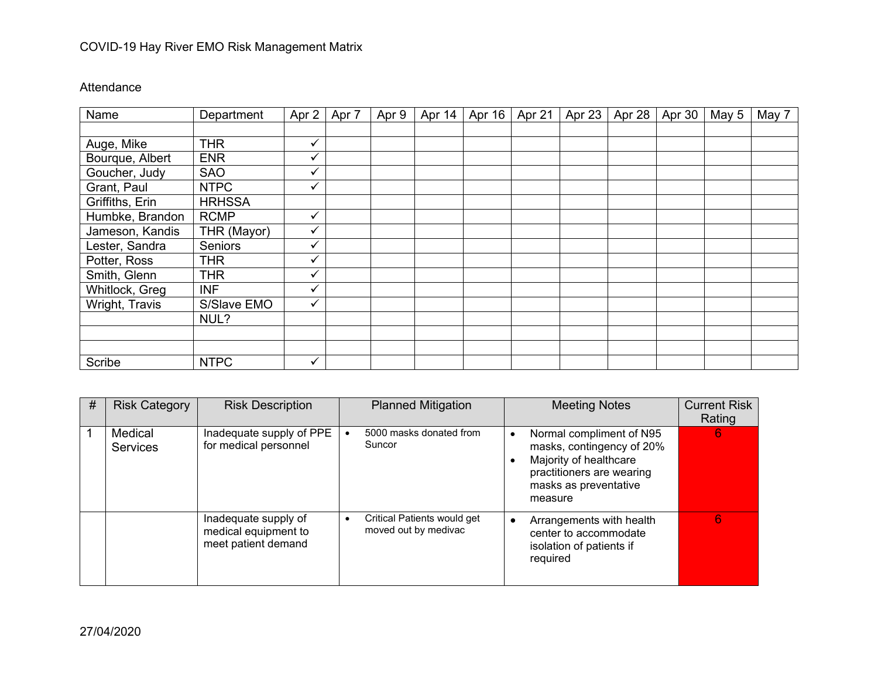## COVID-19 Hay River EMO Risk Management Matrix

## Attendance

| Name            | Department     | Apr 2 | Apr 7 | Apr 9 | Apr 14 | Apr 16 | Apr 21 | Apr 23 | Apr 28 | Apr 30 | May 5 | May 7 |
|-----------------|----------------|-------|-------|-------|--------|--------|--------|--------|--------|--------|-------|-------|
|                 |                |       |       |       |        |        |        |        |        |        |       |       |
| Auge, Mike      | <b>THR</b>     | ✓     |       |       |        |        |        |        |        |        |       |       |
| Bourque, Albert | <b>ENR</b>     | ✔     |       |       |        |        |        |        |        |        |       |       |
| Goucher, Judy   | <b>SAO</b>     | ✓     |       |       |        |        |        |        |        |        |       |       |
| Grant, Paul     | <b>NTPC</b>    |       |       |       |        |        |        |        |        |        |       |       |
| Griffiths, Erin | <b>HRHSSA</b>  |       |       |       |        |        |        |        |        |        |       |       |
| Humbke, Brandon | <b>RCMP</b>    | ✔     |       |       |        |        |        |        |        |        |       |       |
| Jameson, Kandis | THR (Mayor)    | ✓     |       |       |        |        |        |        |        |        |       |       |
| Lester, Sandra  | <b>Seniors</b> | ✓     |       |       |        |        |        |        |        |        |       |       |
| Potter, Ross    | <b>THR</b>     | ✓     |       |       |        |        |        |        |        |        |       |       |
| Smith, Glenn    | <b>THR</b>     | ✓     |       |       |        |        |        |        |        |        |       |       |
| Whitlock, Greg  | <b>INF</b>     | ✓     |       |       |        |        |        |        |        |        |       |       |
| Wright, Travis  | S/Slave EMO    | ✓     |       |       |        |        |        |        |        |        |       |       |
|                 | NUL?           |       |       |       |        |        |        |        |        |        |       |       |
|                 |                |       |       |       |        |        |        |        |        |        |       |       |
|                 |                |       |       |       |        |        |        |        |        |        |       |       |
| Scribe          | <b>NTPC</b>    | ✓     |       |       |        |        |        |        |        |        |       |       |

| # | <b>Risk Category</b>       | <b>Risk Description</b>                                             |           | <b>Planned Mitigation</b>                           |           | <b>Meeting Notes</b>                                                                                                                             | <b>Current Risk</b><br>Rating |
|---|----------------------------|---------------------------------------------------------------------|-----------|-----------------------------------------------------|-----------|--------------------------------------------------------------------------------------------------------------------------------------------------|-------------------------------|
|   | Medical<br><b>Services</b> | Inadequate supply of PPE<br>for medical personnel                   |           | 5000 masks donated from<br>Suncor                   | $\bullet$ | Normal compliment of N95<br>masks, contingency of 20%<br>Majority of healthcare<br>practitioners are wearing<br>masks as preventative<br>measure | 6                             |
|   |                            | Inadequate supply of<br>medical equipment to<br>meet patient demand | $\bullet$ | Critical Patients would get<br>moved out by medivac |           | Arrangements with health<br>center to accommodate<br>isolation of patients if<br>required                                                        | 6                             |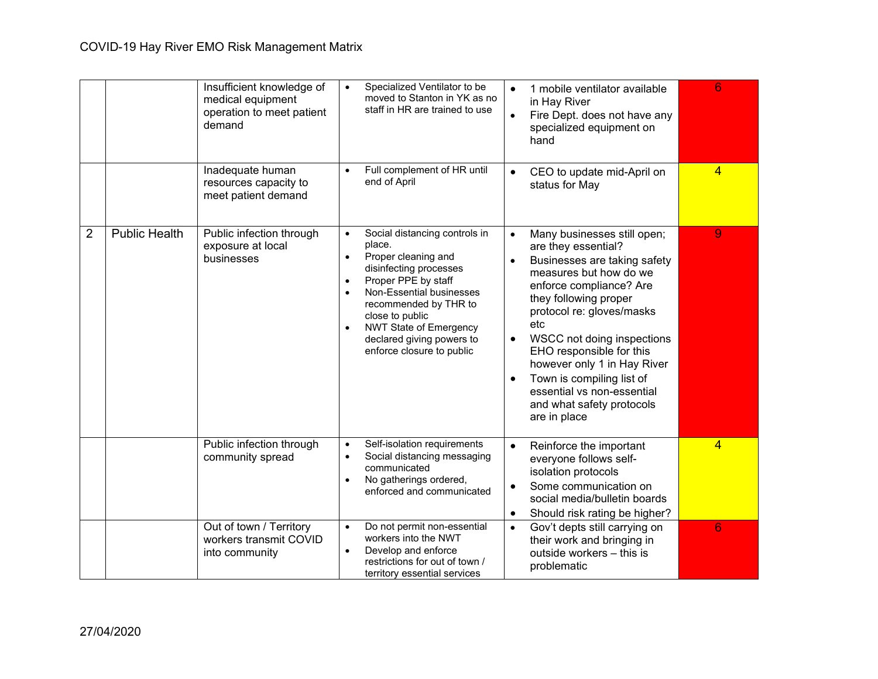|                |                      | Insufficient knowledge of<br>medical equipment<br>operation to meet patient<br>demand | Specialized Ventilator to be<br>$\bullet$<br>moved to Stanton in YK as no<br>staff in HR are trained to use                                                                                                                                                                                                                                         | 1 mobile ventilator available<br>$\bullet$<br>in Hay River<br>Fire Dept. does not have any<br>$\bullet$<br>specialized equipment on<br>hand                                                                                                                                                                                                                                                                                                  | 6              |
|----------------|----------------------|---------------------------------------------------------------------------------------|-----------------------------------------------------------------------------------------------------------------------------------------------------------------------------------------------------------------------------------------------------------------------------------------------------------------------------------------------------|----------------------------------------------------------------------------------------------------------------------------------------------------------------------------------------------------------------------------------------------------------------------------------------------------------------------------------------------------------------------------------------------------------------------------------------------|----------------|
|                |                      | Inadequate human<br>resources capacity to<br>meet patient demand                      | Full complement of HR until<br>$\bullet$<br>end of April                                                                                                                                                                                                                                                                                            | CEO to update mid-April on<br>$\bullet$<br>status for May                                                                                                                                                                                                                                                                                                                                                                                    | $\overline{4}$ |
| $\overline{2}$ | <b>Public Health</b> | Public infection through<br>exposure at local<br>businesses                           | Social distancing controls in<br>$\bullet$<br>place.<br>Proper cleaning and<br>$\bullet$<br>disinfecting processes<br>Proper PPE by staff<br>$\bullet$<br>Non-Essential businesses<br>$\bullet$<br>recommended by THR to<br>close to public<br><b>NWT State of Emergency</b><br>$\bullet$<br>declared giving powers to<br>enforce closure to public | Many businesses still open;<br>$\bullet$<br>are they essential?<br>Businesses are taking safety<br>$\bullet$<br>measures but how do we<br>enforce compliance? Are<br>they following proper<br>protocol re: gloves/masks<br>etc<br>WSCC not doing inspections<br>$\bullet$<br>EHO responsible for this<br>however only 1 in Hay River<br>Town is compiling list of<br>essential vs non-essential<br>and what safety protocols<br>are in place | 9              |
|                |                      | Public infection through<br>community spread                                          | Self-isolation requirements<br>$\bullet$<br>Social distancing messaging<br>$\bullet$<br>communicated<br>No gatherings ordered,<br>$\bullet$<br>enforced and communicated                                                                                                                                                                            | Reinforce the important<br>$\bullet$<br>everyone follows self-<br>isolation protocols<br>Some communication on<br>$\bullet$<br>social media/bulletin boards<br>Should risk rating be higher?<br>$\bullet$                                                                                                                                                                                                                                    | $\overline{4}$ |
|                |                      | Out of town / Territory<br>workers transmit COVID<br>into community                   | Do not permit non-essential<br>$\bullet$<br>workers into the NWT<br>Develop and enforce<br>$\bullet$<br>restrictions for out of town /<br>territory essential services                                                                                                                                                                              | Gov't depts still carrying on<br>$\bullet$<br>their work and bringing in<br>outside workers - this is<br>problematic                                                                                                                                                                                                                                                                                                                         | 6              |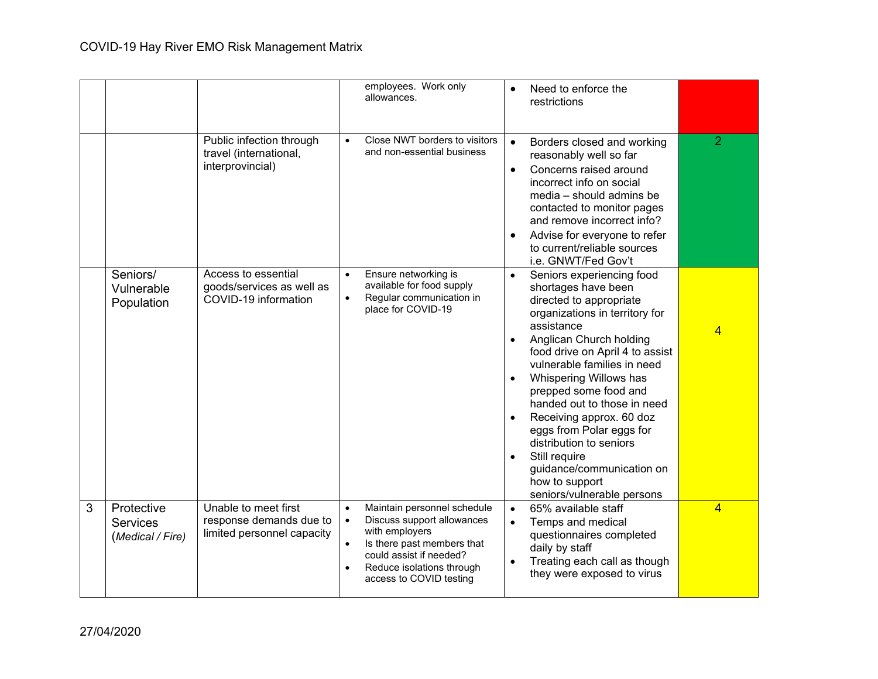|   |                                                   |                                                                               |                                                  | employees. Work only<br>allowances.                                                                                                                                                          |                                                  | Need to enforce the<br>restrictions                                                                                                                                                                                                                                                                                                                                                                                                                                                         |                |
|---|---------------------------------------------------|-------------------------------------------------------------------------------|--------------------------------------------------|----------------------------------------------------------------------------------------------------------------------------------------------------------------------------------------------|--------------------------------------------------|---------------------------------------------------------------------------------------------------------------------------------------------------------------------------------------------------------------------------------------------------------------------------------------------------------------------------------------------------------------------------------------------------------------------------------------------------------------------------------------------|----------------|
|   |                                                   | Public infection through<br>travel (international,<br>interprovincial)        | $\bullet$                                        | Close NWT borders to visitors<br>and non-essential business                                                                                                                                  | $\bullet$<br>$\bullet$<br>$\bullet$              | Borders closed and working<br>reasonably well so far<br>Concerns raised around<br>incorrect info on social<br>media - should admins be<br>contacted to monitor pages<br>and remove incorrect info?<br>Advise for everyone to refer<br>to current/reliable sources<br>i.e. GNWT/Fed Gov't                                                                                                                                                                                                    | $\overline{2}$ |
|   | Seniors/<br>Vulnerable<br>Population              | Access to essential<br>goods/services as well as<br>COVID-19 information      | $\bullet$<br>$\bullet$                           | Ensure networking is<br>available for food supply<br>Regular communication in<br>place for COVID-19                                                                                          | $\bullet$<br>$\bullet$<br>$\bullet$<br>$\bullet$ | Seniors experiencing food<br>shortages have been<br>directed to appropriate<br>organizations in territory for<br>assistance<br>Anglican Church holding<br>food drive on April 4 to assist<br>vulnerable families in need<br>Whispering Willows has<br>prepped some food and<br>handed out to those in need<br>Receiving approx. 60 doz<br>eggs from Polar eggs for<br>distribution to seniors<br>Still require<br>guidance/communication on<br>how to support<br>seniors/vulnerable persons |                |
| 3 | Protective<br><b>Services</b><br>(Medical / Fire) | Unable to meet first<br>response demands due to<br>limited personnel capacity | $\bullet$<br>$\bullet$<br>$\bullet$<br>$\bullet$ | Maintain personnel schedule<br>Discuss support allowances<br>with employers<br>Is there past members that<br>could assist if needed?<br>Reduce isolations through<br>access to COVID testing | $\bullet$<br>$\bullet$                           | 65% available staff<br>Temps and medical<br>questionnaires completed<br>daily by staff<br>Treating each call as though<br>they were exposed to virus                                                                                                                                                                                                                                                                                                                                        | 4              |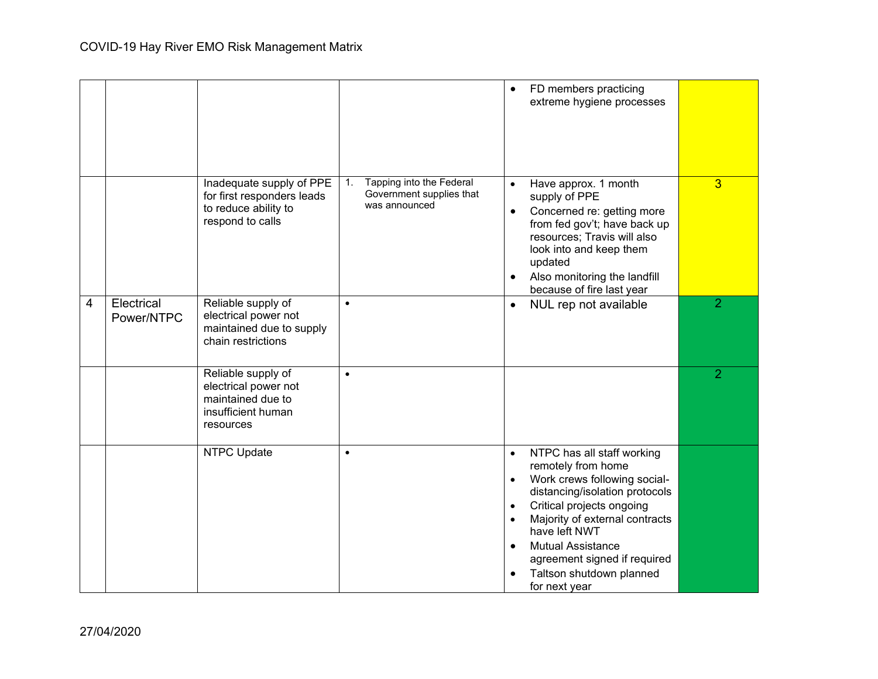|                |                          |                                                                                                    |                                                                             | FD members practicing<br>$\bullet$<br>extreme hygiene processes                                                                                                                                                                                                                                                                                                                           |                |
|----------------|--------------------------|----------------------------------------------------------------------------------------------------|-----------------------------------------------------------------------------|-------------------------------------------------------------------------------------------------------------------------------------------------------------------------------------------------------------------------------------------------------------------------------------------------------------------------------------------------------------------------------------------|----------------|
|                |                          | Inadequate supply of PPE<br>for first responders leads<br>to reduce ability to<br>respond to calls | Tapping into the Federal<br>1.<br>Government supplies that<br>was announced | Have approx. 1 month<br>$\bullet$<br>supply of PPE<br>Concerned re: getting more<br>$\bullet$<br>from fed gov't; have back up<br>resources; Travis will also<br>look into and keep them<br>updated<br>Also monitoring the landfill<br>$\bullet$<br>because of fire last year                                                                                                              | $\overline{3}$ |
| $\overline{4}$ | Electrical<br>Power/NTPC | Reliable supply of<br>electrical power not<br>maintained due to supply<br>chain restrictions       | $\bullet$                                                                   | NUL rep not available<br>$\bullet$                                                                                                                                                                                                                                                                                                                                                        | $\overline{2}$ |
|                |                          | Reliable supply of<br>electrical power not<br>maintained due to<br>insufficient human<br>resources | $\bullet$                                                                   |                                                                                                                                                                                                                                                                                                                                                                                           | $\overline{2}$ |
|                |                          | <b>NTPC Update</b>                                                                                 | $\bullet$                                                                   | NTPC has all staff working<br>$\bullet$<br>remotely from home<br>Work crews following social-<br>$\bullet$<br>distancing/isolation protocols<br>Critical projects ongoing<br>$\bullet$<br>Majority of external contracts<br>$\bullet$<br>have left NWT<br><b>Mutual Assistance</b><br>$\bullet$<br>agreement signed if required<br>Taltson shutdown planned<br>$\bullet$<br>for next year |                |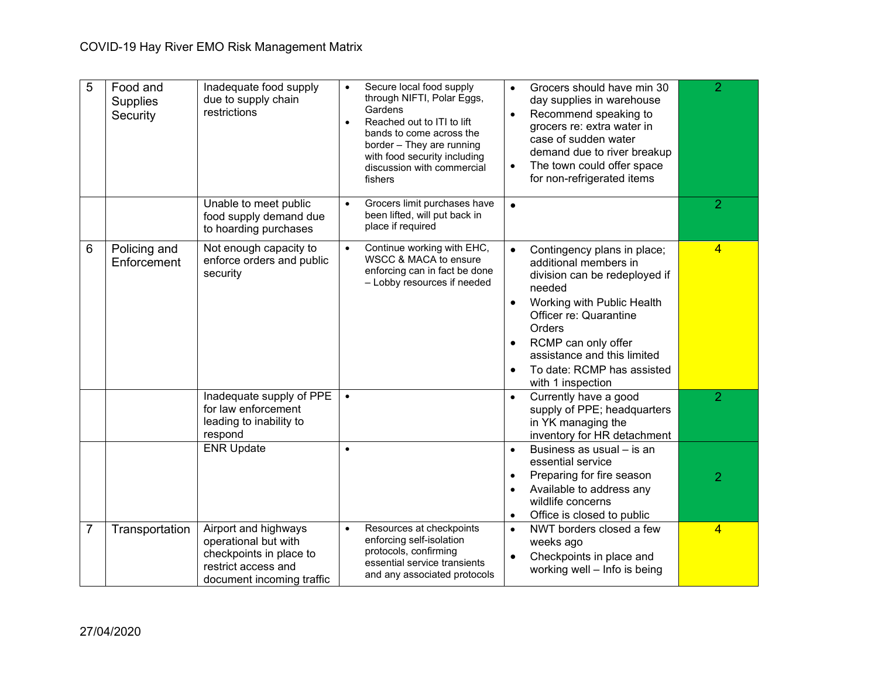| 5 | Food and<br><b>Supplies</b><br>Security | Inadequate food supply<br>due to supply chain<br>restrictions                                                               | Secure local food supply<br>$\bullet$<br>through NIFTI, Polar Eggs,<br>Gardens<br>Reached out to ITI to lift<br>$\bullet$<br>bands to come across the<br>border - They are running<br>with food security including<br>discussion with commercial<br>fishers | Grocers should have min 30<br>$\bullet$<br>day supplies in warehouse<br>Recommend speaking to<br>$\bullet$<br>grocers re: extra water in<br>case of sudden water<br>demand due to river breakup<br>The town could offer space<br>for non-refrigerated items                             | $\overline{2}$ |
|---|-----------------------------------------|-----------------------------------------------------------------------------------------------------------------------------|-------------------------------------------------------------------------------------------------------------------------------------------------------------------------------------------------------------------------------------------------------------|-----------------------------------------------------------------------------------------------------------------------------------------------------------------------------------------------------------------------------------------------------------------------------------------|----------------|
|   |                                         | Unable to meet public<br>food supply demand due<br>to hoarding purchases                                                    | Grocers limit purchases have<br>$\bullet$<br>been lifted, will put back in<br>place if required                                                                                                                                                             | $\bullet$                                                                                                                                                                                                                                                                               | $\overline{2}$ |
| 6 | Policing and<br>Enforcement             | Not enough capacity to<br>enforce orders and public<br>security                                                             | Continue working with EHC,<br>$\bullet$<br>WSCC & MACA to ensure<br>enforcing can in fact be done<br>- Lobby resources if needed                                                                                                                            | Contingency plans in place;<br>$\bullet$<br>additional members in<br>division can be redeployed if<br>needed<br>Working with Public Health<br>Officer re: Quarantine<br>Orders<br>RCMP can only offer<br>assistance and this limited<br>To date: RCMP has assisted<br>with 1 inspection | $\overline{4}$ |
|   |                                         | Inadequate supply of PPE<br>for law enforcement<br>leading to inability to<br>respond                                       |                                                                                                                                                                                                                                                             | Currently have a good<br>supply of PPE; headquarters<br>in YK managing the<br>inventory for HR detachment                                                                                                                                                                               | $\overline{2}$ |
|   |                                         | <b>ENR Update</b>                                                                                                           | $\bullet$                                                                                                                                                                                                                                                   | Business as usual – is an<br>$\bullet$<br>essential service<br>Preparing for fire season<br>Available to address any<br>$\bullet$<br>wildlife concerns<br>Office is closed to public<br>$\bullet$                                                                                       | $\overline{2}$ |
| 7 | Transportation                          | Airport and highways<br>operational but with<br>checkpoints in place to<br>restrict access and<br>document incoming traffic | Resources at checkpoints<br>$\bullet$<br>enforcing self-isolation<br>protocols, confirming<br>essential service transients<br>and any associated protocols                                                                                                  | NWT borders closed a few<br>$\bullet$<br>weeks ago<br>Checkpoints in place and<br>$\bullet$<br>working well - Info is being                                                                                                                                                             | $\overline{4}$ |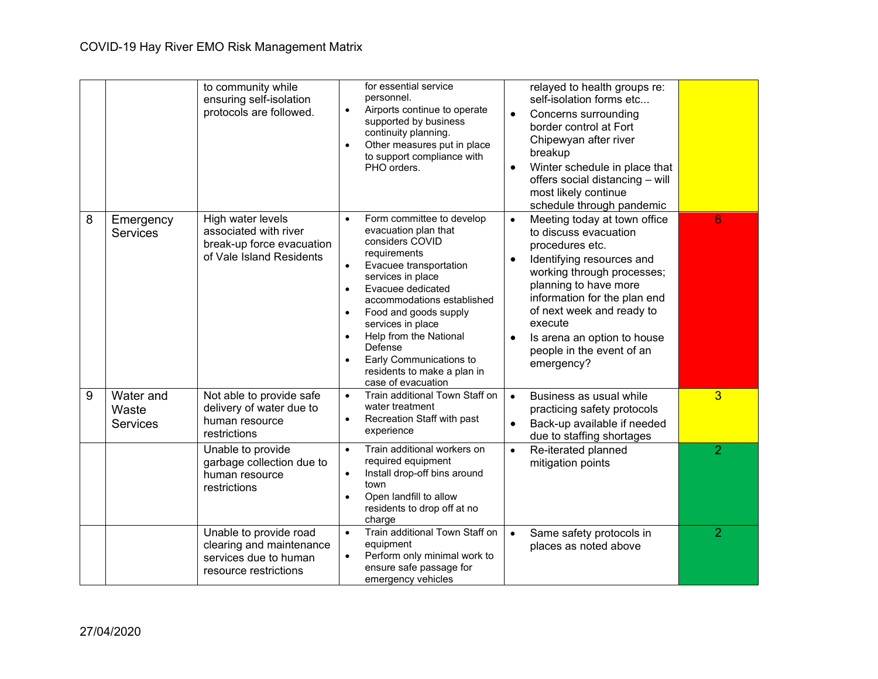|   |                                       | to community while<br>ensuring self-isolation<br>protocols are followed.                             | for essential service<br>personnel.<br>Airports continue to operate<br>$\bullet$<br>$\bullet$<br>supported by business<br>continuity planning.<br>Other measures put in place<br>$\bullet$<br>breakup<br>to support compliance with<br>PHO orders.<br>most likely continue                                                                                                                                                                                                                                                 | relayed to health groups re:<br>self-isolation forms etc<br>Concerns surrounding<br>border control at Fort<br>Chipewyan after river<br>Winter schedule in place that<br>offers social distancing - will<br>schedule through pandemic                                    |
|---|---------------------------------------|------------------------------------------------------------------------------------------------------|----------------------------------------------------------------------------------------------------------------------------------------------------------------------------------------------------------------------------------------------------------------------------------------------------------------------------------------------------------------------------------------------------------------------------------------------------------------------------------------------------------------------------|-------------------------------------------------------------------------------------------------------------------------------------------------------------------------------------------------------------------------------------------------------------------------|
| 8 | Emergency<br><b>Services</b>          | High water levels<br>associated with river<br>break-up force evacuation<br>of Vale Island Residents  | Form committee to develop<br>$\bullet$<br>$\bullet$<br>evacuation plan that<br>considers COVID<br>procedures etc.<br>requirements<br>$\bullet$<br>Evacuee transportation<br>$\bullet$<br>services in place<br>Evacuee dedicated<br>$\bullet$<br>accommodations established<br>Food and goods supply<br>$\bullet$<br>execute<br>services in place<br>Help from the National<br>$\bullet$<br>$\bullet$<br>Defense<br>Early Communications to<br>$\bullet$<br>emergency?<br>residents to make a plan in<br>case of evacuation | 6<br>Meeting today at town office<br>to discuss evacuation<br>Identifying resources and<br>working through processes;<br>planning to have more<br>information for the plan end<br>of next week and ready to<br>Is arena an option to house<br>people in the event of an |
| 9 | Water and<br>Waste<br><b>Services</b> | Not able to provide safe<br>delivery of water due to<br>human resource<br>restrictions               | Train additional Town Staff on<br>$\bullet$<br>$\bullet$<br>water treatment<br>Recreation Staff with past<br>$\bullet$<br>experience                                                                                                                                                                                                                                                                                                                                                                                       | 3<br>Business as usual while<br>practicing safety protocols<br>Back-up available if needed<br>due to staffing shortages                                                                                                                                                 |
|   |                                       | Unable to provide<br>garbage collection due to<br>human resource<br>restrictions                     | Train additional workers on<br>$\bullet$<br>$\bullet$<br>required equipment<br>mitigation points<br>Install drop-off bins around<br>$\bullet$<br>town<br>Open landfill to allow<br>$\bullet$<br>residents to drop off at no<br>charge                                                                                                                                                                                                                                                                                      | $\overline{2}$<br>Re-iterated planned                                                                                                                                                                                                                                   |
|   |                                       | Unable to provide road<br>clearing and maintenance<br>services due to human<br>resource restrictions | Train additional Town Staff on<br>$\bullet$<br>equipment<br>Perform only minimal work to<br>$\bullet$<br>ensure safe passage for<br>emergency vehicles                                                                                                                                                                                                                                                                                                                                                                     | $\overline{2}$<br>Same safety protocols in<br>places as noted above                                                                                                                                                                                                     |